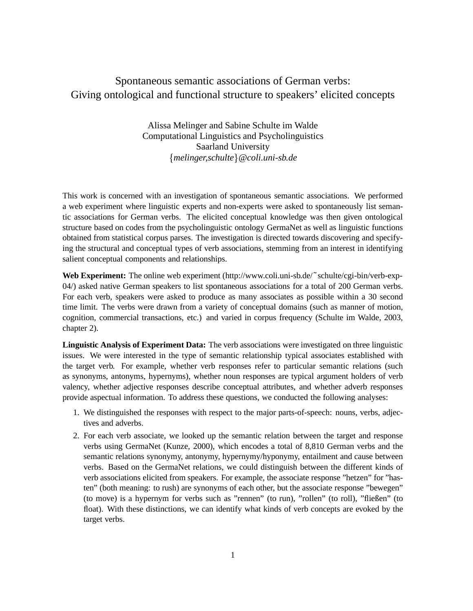## Spontaneous semantic associations of German verbs: Giving ontological and functional structure to speakers' elicited concepts

Alissa Melinger and Sabine Schulte im Walde Computational Linguistics and Psycholinguistics Saarland University <sup>f</sup>*melinger,schulte*g*@coli.uni-sb.de*

This work is concerned with an investigation of spontaneous semantic associations. We performed a web experiment where linguistic experts and non-experts were asked to spontaneously list semantic associations for German verbs. The elicited conceptual knowledge was then given ontological structure based on codes from the psycholinguistic ontology GermaNet as well as linguistic functions obtained from statistical corpus parses. The investigation is directed towards discovering and specifying the structural and conceptual types of verb associations, stemming from an interest in identifying salient conceptual components and relationships.

**Web Experiment:** The online web experiment (http://www.coli.uni-sb.de/˜schulte/cgi-bin/verb-exp-04/) asked native German speakers to list spontaneous associations for a total of 200 German verbs. For each verb, speakers were asked to produce as many associates as possible within a 30 second time limit. The verbs were drawn from a variety of conceptual domains (such as manner of motion, cognition, commercial transactions, etc.) and varied in corpus frequency (Schulte im Walde, 2003, chapter 2).

**Linguistic Analysis of Experiment Data:** The verb associations were investigated on three linguistic issues. We were interested in the type of semantic relationship typical associates established with the target verb. For example, whether verb responses refer to particular semantic relations (such as synonyms, antonyms, hypernyms), whether noun responses are typical argument holders of verb valency, whether adjective responses describe conceptual attributes, and whether adverb responses provide aspectual information. To address these questions, we conducted the following analyses:

- 1. We distinguished the responses with respect to the major parts-of-speech: nouns, verbs, adjectives and adverbs.
- 2. For each verb associate, we looked up the semantic relation between the target and response verbs using GermaNet (Kunze, 2000), which encodes a total of 8,810 German verbs and the semantic relations synonymy, antonymy, hypernymy/hyponymy, entailment and cause between verbs. Based on the GermaNet relations, we could distinguish between the different kinds of verb associations elicited from speakers. For example, the associate response "hetzen" for "hasten" (both meaning: to rush) are synonyms of each other, but the associate response "bewegen" (to move) is a hypernym for verbs such as "rennen" (to run), "rollen" (to roll), "fließen" (to float). With these distinctions, we can identify what kinds of verb concepts are evoked by the target verbs.